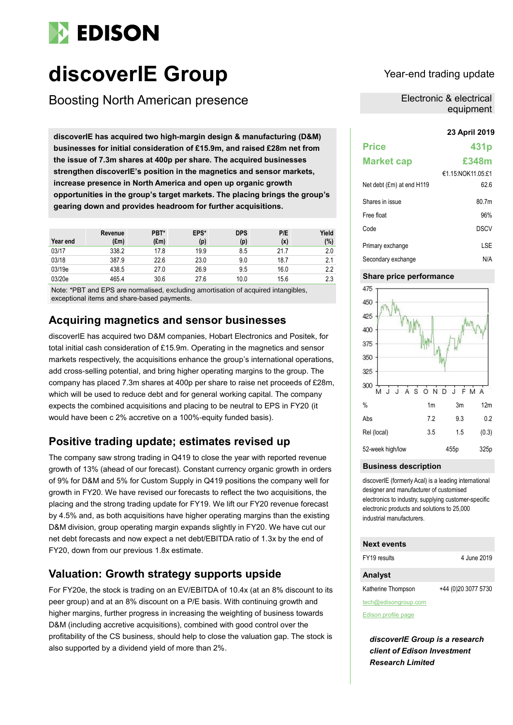

# **discoverIE Group** Year-end trading update

Boosting North American presence

**23 April 2019 discoverIE has acquired two high-margin design & manufacturing (D&M) businesses for initial consideration of £15.9m, and raised £28m net from the issue of 7.3m shares at 400p per share. The acquired businesses strengthen discoverIE's position in the magnetics and sensor markets, increase presence in North America and open up organic growth opportunities in the group's target markets. The placing brings the group's gearing down and provides headroom for further acquisitions.**

| Year end | Revenue<br>(£m) | PBT*<br>$(\text{Em})$ | EPS*<br>(p) | <b>DPS</b><br>(p) | P/E<br>(x) | Yield<br>(%) |
|----------|-----------------|-----------------------|-------------|-------------------|------------|--------------|
| 03/17    | 338.2           | 17.8                  | 19.9        | 8.5               | 21.7       | 2.0          |
| 03/18    | 387.9           | 22.6                  | 23.0        | 9.0               | 18.7       | 2.1          |
| 03/19e   | 438.5           | 27.0                  | 26.9        | 9.5               | 16.0       | 2.2          |
| 03/20e   | 465.4           | 30.6                  | 27.6        | 10.0              | 15.6       | 2.3          |

Note: \*PBT and EPS are normalised, excluding amortisation of acquired intangibles, exceptional items and share-based payments.

# **Acquiring magnetics and sensor businesses**

discoverIE has acquired two D&M companies, Hobart Electronics and Positek, for total initial cash consideration of £15.9m. Operating in the magnetics and sensor markets respectively, the acquisitions enhance the group's international operations, add cross-selling potential, and bring higher operating margins to the group. The company has placed 7.3m shares at 400p per share to raise net proceeds of £28m, which will be used to reduce debt and for general working capital. The company expects the combined acquisitions and placing to be neutral to EPS in FY20 (it would have been c 2% accretive on a 100%-equity funded basis).

# **Positive trading update; estimates revised up**

The company saw strong trading in Q419 to close the year with reported revenue growth of 13% (ahead of our forecast). Constant currency organic growth in orders of 9% for D&M and 5% for Custom Supply in Q419 positions the company well for growth in FY20. We have revised our forecasts to reflect the two acquisitions, the placing and the strong trading update for FY19. We lift our FY20 revenue forecast by 4.5% and, as both acquisitions have higher operating margins than the existing D&M division, group operating margin expands slightly in FY20. We have cut our net debt forecasts and now expect a net debt/EBITDA ratio of 1.3x by the end of FY20, down from our previous 1.8x estimate.

# **Valuation: Growth strategy supports upside**

For FY20e, the stock is trading on an EV/EBITDA of 10.4x (at an 8% discount to its peer group) and at an 8% discount on a P/E basis. With continuing growth and higher margins, further progress in increasing the weighting of business towards D&M (including accretive acquisitions), combined with good control over the profitability of the CS business, should help to close the valuation gap. The stock is also supported by a dividend yield of more than 2%.

Electronic & electrical equipment

| <b>Price</b>              | 431p                  |
|---------------------------|-----------------------|
| <b>Market cap</b>         | £348m                 |
|                           | $€1$ 15 NOK11 05 $£1$ |
| Net debt (£m) at end H119 | 62.6                  |
| Shares in issue           | 80.7m                 |
| Free float                | 96%                   |
| Code                      | DSCV                  |
| Primary exchange          | LSE                   |
| Secondary exchange        | N/A                   |

## **Share price performance**



### **Business description**

discoverIE (formerly Acal) is a leading international designer and manufacturer of customised electronics to industry, supplying customer-specific electronic products and solutions to 25,000 industrial manufacturers.

### **Next events**

FY19 results 4 June 2019

## **Analyst**

Katherine Thompson +44 (0)20 3077 5730

tech@edisongroup.com [Edison profile page](https://www.edisongroup.com/company/discoverie-group)

*discoverIE Group is a research client of Edison Investment Research Limited*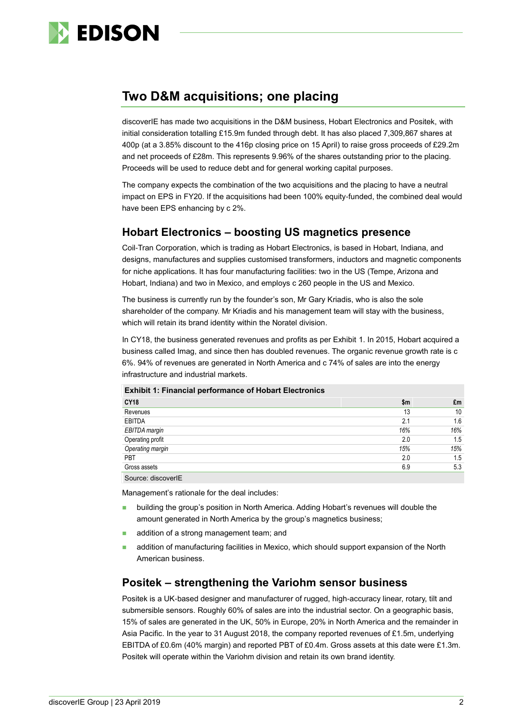

# **Two D&M acquisitions; one placing**

discoverIE has made two acquisitions in the D&M business, Hobart Electronics and Positek, with initial consideration totalling £15.9m funded through debt. It has also placed 7,309,867 shares at 400p (at a 3.85% discount to the 416p closing price on 15 April) to raise gross proceeds of £29.2m and net proceeds of £28m. This represents 9.96% of the shares outstanding prior to the placing. Proceeds will be used to reduce debt and for general working capital purposes.

The company expects the combination of the two acquisitions and the placing to have a neutral impact on EPS in FY20. If the acquisitions had been 100% equity-funded, the combined deal would have been EPS enhancing by c 2%.

# **Hobart Electronics – boosting US magnetics presence**

Coil-Tran Corporation, which is trading as Hobart Electronics, is based in Hobart, Indiana, and designs, manufactures and supplies customised transformers, inductors and magnetic components for niche applications. It has four manufacturing facilities: two in the US (Tempe, Arizona and Hobart, Indiana) and two in Mexico, and employs c 260 people in the US and Mexico.

The business is currently run by the founder's son, Mr Gary Kriadis, who is also the sole shareholder of the company. Mr Kriadis and his management team will stay with the business, which will retain its brand identity within the Noratel division.

In CY18, the business generated revenues and profits as per Exhibit 1. In 2015, Hobart acquired a business called Imag, and since then has doubled revenues. The organic revenue growth rate is c 6%. 94% of revenues are generated in North America and c 74% of sales are into the energy infrastructure and industrial markets.

| <b>CY18</b>       | \$m | £m  |
|-------------------|-----|-----|
| Revenues          | 13  | 10  |
| <b>EBITDA</b>     | 2.1 | 1.6 |
| EBITDA margin     | 16% | 16% |
| Operating profit  | 2.0 | 1.5 |
| Operating margin  | 15% | 15% |
| PBT               | 2.0 | 1.5 |
| Gross assets      | 6.9 | 5.3 |
| Course: dissource |     |     |

**Exhibit 1: Financial performance of Hobart Electronics**

Source: discoverIE

Management's rationale for the deal includes:

- building the group's position in North America. Adding Hobart's revenues will double the amount generated in North America by the group's magnetics business;
- addition of a strong management team; and
- addition of manufacturing facilities in Mexico, which should support expansion of the North American business.

# **Positek – strengthening the Variohm sensor business**

Positek is a UK-based designer and manufacturer of rugged, high-accuracy linear, rotary, tilt and submersible sensors. Roughly 60% of sales are into the industrial sector. On a geographic basis, 15% of sales are generated in the UK, 50% in Europe, 20% in North America and the remainder in Asia Pacific. In the year to 31 August 2018, the company reported revenues of £1.5m, underlying EBITDA of £0.6m (40% margin) and reported PBT of £0.4m. Gross assets at this date were £1.3m. Positek will operate within the Variohm division and retain its own brand identity.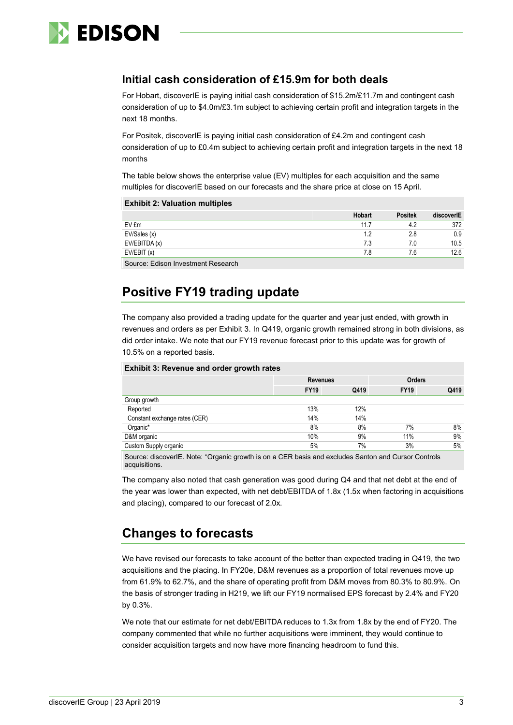

# **Initial cash consideration of £15.9m for both deals**

For Hobart, discoverIE is paying initial cash consideration of \$15.2m/£11.7m and contingent cash consideration of up to \$4.0m/£3.1m subject to achieving certain profit and integration targets in the next 18 months.

For Positek, discoverIE is paying initial cash consideration of £4.2m and contingent cash consideration of up to £0.4m subject to achieving certain profit and integration targets in the next 18 months

The table below shows the enterprise value (EV) multiples for each acquisition and the same multiples for discoverIE based on our forecasts and the share price at close on 15 April.

### **Exhibit 2: Valuation multiples**

|               | Hobart | <b>Positek</b> | discoverIE |
|---------------|--------|----------------|------------|
| EV £m         | 11.7   | 4.2            | 372        |
| EV/Sales (x)  | 19     | 2.8            | 0.9        |
| EV/EBITDA (x) | 7.3    | 7.0            | 10.5       |
| EV/EBIT(x)    | 7.8    | 7.6            | 12.6       |
|               |        |                |            |

Source: Edison Investment Research

# **Positive FY19 trading update**

The company also provided a trading update for the quarter and year just ended, with growth in revenues and orders as per Exhibit 3. In Q419, organic growth remained strong in both divisions, as did order intake. We note that our FY19 revenue forecast prior to this update was for growth of 10.5% on a reported basis.

| <b>Exhibit 3: Revenue and order growth rates</b> |                 |      |               |      |  |  |  |  |  |
|--------------------------------------------------|-----------------|------|---------------|------|--|--|--|--|--|
|                                                  | <b>Revenues</b> |      | <b>Orders</b> |      |  |  |  |  |  |
|                                                  | <b>FY19</b>     | Q419 | <b>FY19</b>   | Q419 |  |  |  |  |  |
| Group growth                                     |                 |      |               |      |  |  |  |  |  |
| Reported                                         | 13%             | 12%  |               |      |  |  |  |  |  |
| Constant exchange rates (CER)                    | 14%             | 14%  |               |      |  |  |  |  |  |
| Organic*                                         | 8%              | 8%   | 7%            | 8%   |  |  |  |  |  |
| D&M organic                                      | 10%             | 9%   | 11%           | 9%   |  |  |  |  |  |
| Custom Supply organic                            | 5%              | 7%   | 3%            | 5%   |  |  |  |  |  |

Source: discoverIE. Note: \*Organic growth is on a CER basis and excludes Santon and Cursor Controls acquisitions.

The company also noted that cash generation was good during Q4 and that net debt at the end of the year was lower than expected, with net debt/EBITDA of 1.8x (1.5x when factoring in acquisitions and placing), compared to our forecast of 2.0x.

# **Changes to forecasts**

We have revised our forecasts to take account of the better than expected trading in Q419, the two acquisitions and the placing. In FY20e, D&M revenues as a proportion of total revenues move up from 61.9% to 62.7%, and the share of operating profit from D&M moves from 80.3% to 80.9%. On the basis of stronger trading in H219, we lift our FY19 normalised EPS forecast by 2.4% and FY20 by 0.3%.

We note that our estimate for net debt/EBITDA reduces to 1.3x from 1.8x by the end of FY20. The company commented that while no further acquisitions were imminent, they would continue to consider acquisition targets and now have more financing headroom to fund this.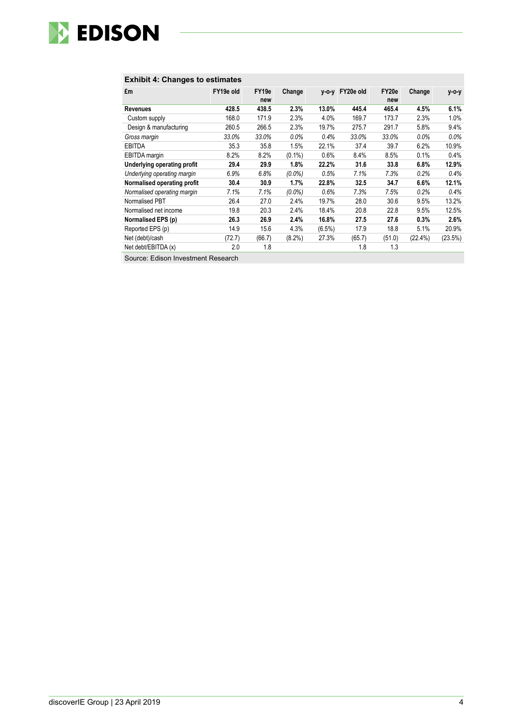

# **Exhibit 4: Changes to estimates**

|                             |           | FY19e  |           |           |                 | FY20e  |         |            |
|-----------------------------|-----------|--------|-----------|-----------|-----------------|--------|---------|------------|
| £m                          | FY19e old |        | Change    |           | y-o-y FY20e old |        | Change  | у-о-у      |
|                             |           | new    |           |           |                 | new    |         |            |
| Revenues                    | 428.5     | 438.5  | 2.3%      | 13.0%     | 445.4           | 465.4  | 4.5%    | 6.1%       |
| Custom supply               | 168.0     | 171.9  | 2.3%      | 4.0%      | 169.7           | 173.7  | 2.3%    | 1.0%       |
| Design & manufacturing      | 260.5     | 266.5  | 2.3%      | 19.7%     | 275.7           | 291.7  | 5.8%    | 9.4%       |
| Gross margin                | 33.0%     | 33.0%  | $0.0\%$   | 0.4%      | 33.0%           | 33.0%  | $0.0\%$ | $0.0\%$    |
| <b>EBITDA</b>               | 35.3      | 35.8   | 1.5%      | 22.1%     | 37.4            | 39.7   | 6.2%    | 10.9%      |
| <b>EBITDA</b> margin        | 8.2%      | 8.2%   | $(0.1\%)$ | 0.6%      | 8.4%            | 8.5%   | 0.1%    | 0.4%       |
| Underlying operating profit | 29.4      | 29.9   | 1.8%      | 22.2%     | 31.6            | 33.8   | 6.8%    | 12.9%      |
| Underlying operating margin | 6.9%      | 6.8%   | $(0.0\%)$ | 0.5%      | 7.1%            | 7.3%   | 0.2%    | 0.4%       |
| Normalised operating profit | 30.4      | 30.9   | 1.7%      | 22.8%     | 32.5            | 34.7   | 6.6%    | 12.1%      |
| Normalised operating margin | 7.1%      | 7.1%   | $(0.0\%)$ | 0.6%      | 7.3%            | 7.5%   | 0.2%    | 0.4%       |
| Normalised PBT              | 26.4      | 27.0   | 2.4%      | 19.7%     | 28.0            | 30.6   | 9.5%    | 13.2%      |
| Normalised net income       | 19.8      | 20.3   | 2.4%      | 18.4%     | 20.8            | 22.8   | 9.5%    | 12.5%      |
| Normalised EPS (p)          | 26.3      | 26.9   | 2.4%      | 16.8%     | 27.5            | 27.6   | 0.3%    | 2.6%       |
| Reported EPS (p)            | 14.9      | 15.6   | 4.3%      | $(6.5\%)$ | 17.9            | 18.8   | 5.1%    | 20.9%      |
| Net (debt)/cash             | (72.7)    | (66.7) | $(8.2\%)$ | 27.3%     | (65.7)          | (51.0) | (22.4%) | $(23.5\%)$ |
| Net debt/EBITDA (x)         | 2.0       | 1.8    |           |           | 1.8             | 1.3    |         |            |
| $   -$                      |           |        |           |           |                 |        |         |            |

Source: Edison Investment Research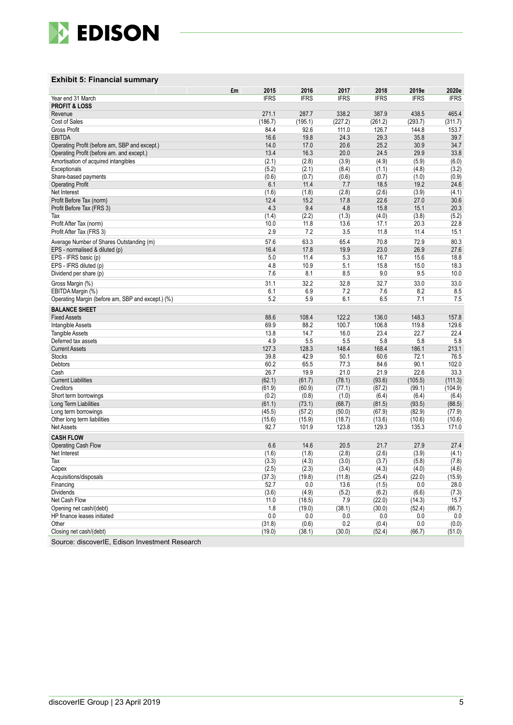

# **Exhibit 5: Financial summary**

|                                                   | 2015<br>£m    | 2016          | 2017          | 2018          | 2019e             | 2020e              |
|---------------------------------------------------|---------------|---------------|---------------|---------------|-------------------|--------------------|
| Year end 31 March                                 | <b>IFRS</b>   | <b>IFRS</b>   | <b>IFRS</b>   | <b>IFRS</b>   | <b>IFRS</b>       | <b>IFRS</b>        |
| <b>PROFIT &amp; LOSS</b>                          |               |               |               |               |                   |                    |
| Revenue                                           | 271.1         | 287.7         | 338.2         | 387.9         | 438.5             | 465.4              |
| Cost of Sales                                     | (186.7)       | (195.1)       | (227.2)       | (261.2)       | (293.7)           | (311.7)            |
| Gross Profit                                      | 84.4          | 92.6          | 111.0         | 126.7         | 144.8             | 153.7              |
| <b>EBITDA</b>                                     | 16.6          | 19.8          | 24.3          | 29.3          | 35.8              | 39.7               |
| Operating Profit (before am, SBP and except.)     | 14.0          | 17.0          | 20.6          | 25.2          | 30.9              | 34.7               |
| Operating Profit (before am. and except.)         | 13.4          | 16.3          | 20.0          | 24.5          | 29.9              | 33.8               |
| Amortisation of acquired intangibles              | (2.1)         | (2.8)         | (3.9)         | (4.9)         | (5.9)             | (6.0)              |
| Exceptionals                                      | (5.2)         | (2.1)         | (8.4)         | (1.1)         | (4.8)             | (3.2)              |
| Share-based payments                              | (0.6)         | (0.7)         | (0.6)         | (0.7)         | (1.0)             | (0.9)              |
| <b>Operating Profit</b>                           | 6.1           | 11.4          | 7.7           | 18.5          | 19.2              | 24.6               |
| Net Interest<br>Profit Before Tax (norm)          | (1.6)<br>12.4 | (1.8)<br>15.2 | (2.8)<br>17.8 | (2.6)<br>22.6 | (3.9)<br>27.0     | (4.1)<br>30.6      |
| Profit Before Tax (FRS 3)                         | 4.3           | 9.4           | 4.8           | 15.8          | 15.1              | 20.3               |
| Tax                                               | (1.4)         | (2.2)         | (1.3)         | (4.0)         | (3.8)             | (5.2)              |
| Profit After Tax (norm)                           | 10.0          | 11.8          | 13.6          | 17.1          | 20.3              | 22.8               |
| Profit After Tax (FRS 3)                          | 2.9           | 7.2           | 3.5           | 11.8          | 11.4              | 15.1               |
|                                                   |               |               |               |               |                   |                    |
| Average Number of Shares Outstanding (m)          | 57.6          | 63.3          | 65.4          | 70.8          | 72.9              | 80.3               |
| EPS - normalised & diluted (p)                    | 16.4          | 17.8          | 19.9          | 23.0          | 26.9              | 27.6               |
| EPS - IFRS basic (p)                              | 5.0<br>4.8    | 11.4          | 5.3           | 16.7          | 15.6              | 18.8               |
| EPS - IFRS diluted (p)<br>Dividend per share (p)  | 7.6           | 10.9<br>8.1   | 5.1<br>8.5    | 15.8<br>9.0   | 15.0<br>9.5       | 18.3<br>10.0       |
|                                                   |               |               |               |               |                   |                    |
| Gross Margin (%)                                  | 31.1          | 32.2          | 32.8          | 32.7          | 33.0              | 33.0               |
| EBITDA Margin (%)                                 | 6.1           | 6.9           | 7.2           | 7.6           | 8.2               | 8.5                |
| Operating Margin (before am, SBP and except.) (%) | 5.2           | 5.9           | 6.1           | 6.5           | 7.1               | 7.5                |
| <b>BALANCE SHEET</b>                              |               |               |               |               |                   |                    |
| <b>Fixed Assets</b>                               | 88.6          | 108.4         | 122.2         | 136.0         | 148.3             | 157.8              |
| Intangible Assets                                 | 69.9          | 88.2          | 100.7         | 106.8         | 119.8             | 129.6              |
| <b>Tangible Assets</b>                            | 13.8          | 14.7          | 16.0          | 23.4          | 22.7              | 22.4               |
| Deferred tax assets                               | 4.9           | 5.5           | 5.5           | 5.8           | 5.8               | 5.8                |
| <b>Current Assets</b>                             | 127.3         | 128.3         | 148.4         | 168.4         | 186.1             | 213.1              |
| <b>Stocks</b>                                     | 39.8          | 42.9          | 50.1          | 60.6          | 72.1              | 76.5               |
| Debtors                                           | 60.2<br>26.7  | 65.5<br>19.9  | 77.3<br>21.0  | 84.6<br>21.9  | 90.1<br>22.6      | 102.0<br>33.3      |
| Cash<br><b>Current Liabilities</b>                | (62.1)        | (61.7)        | (78.1)        | (93.6)        |                   |                    |
| Creditors                                         | (61.9)        | (60.9)        | (77.1)        | (87.2)        | (105.5)<br>(99.1) | (111.3)<br>(104.9) |
| Short term borrowings                             | (0.2)         | (0.8)         | (1.0)         | (6.4)         | (6.4)             | (6.4)              |
| Long Term Liabilities                             | (61.1)        | (73.1)        | (68.7)        | (81.5)        | (93.5)            | (88.5)             |
| Long term borrowings                              | (45.5)        | (57.2)        | (50.0)        | (67.9)        | (82.9)            | (77.9)             |
| Other long term liabilities                       | (15.6)        | (15.9)        | (18.7)        | (13.6)        | (10.6)            | (10.6)             |
| <b>Net Assets</b>                                 | 92.7          | 101.9         | 123.8         | 129.3         | 135.3             | 171.0              |
| <b>CASH FLOW</b>                                  |               |               |               |               |                   |                    |
| <b>Operating Cash Flow</b>                        | 6.6           | 14.6          | 20.5          | 21.7          | 27.9              | 27.4               |
| Net Interest                                      | (1.6)         | (1.8)         | (2.8)         | (2.6)         | (3.9)             | (4.1)              |
| Tax                                               | (3.3)         | (4.3)         | (3.0)         | (3.7)         | (5.8)             | (7.8)              |
| Capex                                             | (2.5)         | (2.3)         | (3.4)         | (4.3)         | (4.0)             | (4.6)              |
| Acquisitions/disposals                            | (37.3)        | (19.8)        | (11.8)        | (25.4)        | (22.0)            | (15.9)             |
| Financing                                         | 52.7          | 0.0           | 13.6          | (1.5)         | 0.0               | 28.0               |
| <b>Dividends</b>                                  | (3.6)         | (4.9)         | (5.2)         | (6.2)         | (6.6)             | (7.3)              |
| Net Cash Flow                                     | 11.0          | (18.5)        | 7.9           | (22.0)        | (14.3)            | 15.7               |
| Opening net cash/(debt)                           | 1.8           | (19.0)        | (38.1)        | (30.0)        | (52.4)            | (66.7)             |
| HP finance leases initiated                       | $0.0\,$       | 0.0           | 0.0           | 0.0           | 0.0               | 0.0                |
| Other                                             | (31.8)        | (0.6)         | 0.2           | (0.4)         | 0.0               | (0.0)              |
| Closing net cash/(debt)                           | (19.0)        | (38.1)        | (30.0)        | (52.4)        | (66.7)            | (51.0)             |
| Source: discoverIE, Edison Investment Research    |               |               |               |               |                   |                    |